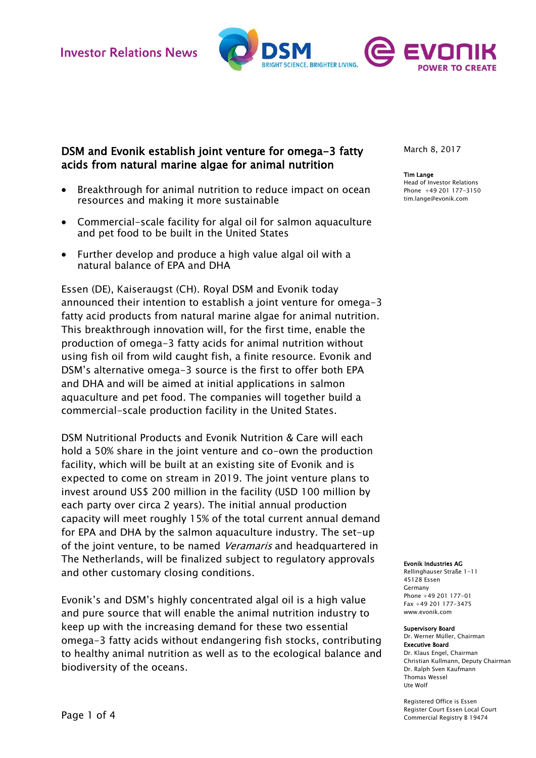

# DSM and Evonik establish joint venture for omega-3 fatty acids from natural marine algae for animal nutrition

- Breakthrough for animal nutrition to reduce impact on ocean resources and making it more sustainable
- Commercial-scale facility for algal oil for salmon aquaculture and pet food to be built in the United States
- Further develop and produce a high value algal oil with a natural balance of EPA and DHA

Essen (DE), Kaiseraugst (CH). Royal DSM and Evonik today announced their intention to establish a joint venture for omega-3 fatty acid products from natural marine algae for animal nutrition. This breakthrough innovation will, for the first time, enable the production of omega-3 fatty acids for animal nutrition without using fish oil from wild caught fish, a finite resource. Evonik and DSM's alternative omega-3 source is the first to offer both EPA and DHA and will be aimed at initial applications in salmon aquaculture and pet food. The companies will together build a commercial-scale production facility in the United States.

DSM Nutritional Products and Evonik Nutrition & Care will each hold a 50% share in the joint venture and co-own the production facility, which will be built at an existing site of Evonik and is expected to come on stream in 2019. The joint venture plans to invest around US\$ 200 million in the facility (USD 100 million by each party over circa 2 years). The initial annual production capacity will meet roughly 15% of the total current annual demand for EPA and DHA by the salmon aquaculture industry. The set-up of the joint venture, to be named Veramaris and headquartered in The Netherlands, will be finalized subject to regulatory approvals and other customary closing conditions.

Evonik's and DSM's highly concentrated algal oil is a high value and pure source that will enable the animal nutrition industry to keep up with the increasing demand for these two essential omega-3 fatty acids without endangering fish stocks, contributing to healthy animal nutrition as well as to the ecological balance and biodiversity of the oceans.

March 8, 2017

### Tim Lange

Head of Investor Relations Phone +49 201 177-3150 tim.lange@evonik.com

#### Evonik Industries AG

Rellinghauser Straße 1-11 45128 Essen Germany Phone +49 201 177-01 Fax +49 201 177-3475 www.evonik.com

#### Supervisory Board

Dr. Werner Müller, Chairman Executive Board Dr. Klaus Engel, Chairman Christian Kullmann, Deputy Chairman Dr. Ralph Sven Kaufmann Thomas Wessel Ute Wolf

Registered Office is Essen Register Court Essen Local Court Commercial Registry B 19474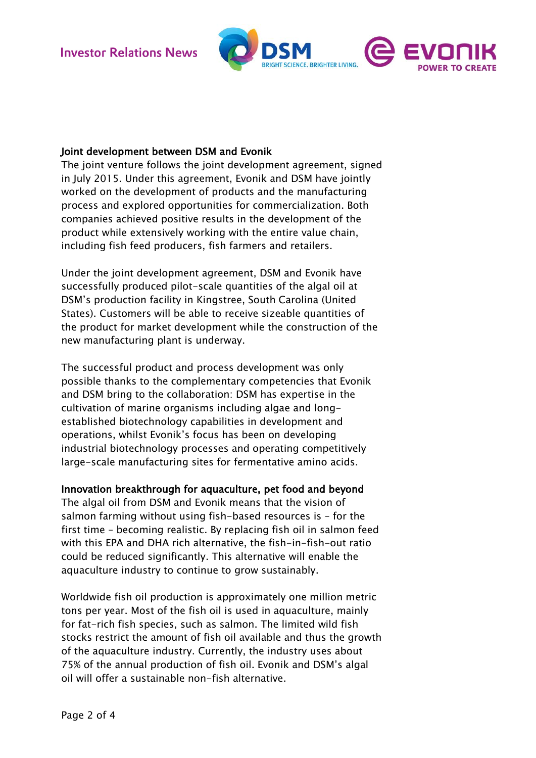

## Joint development between DSM and Evonik

The joint venture follows the joint development agreement, signed in July 2015. Under this agreement, Evonik and DSM have jointly worked on the development of products and the manufacturing process and explored opportunities for commercialization. Both companies achieved positive results in the development of the product while extensively working with the entire value chain, including fish feed producers, fish farmers and retailers.

Under the joint development agreement, DSM and Evonik have successfully produced pilot-scale quantities of the algal oil at DSM's production facility in Kingstree, South Carolina (United States). Customers will be able to receive sizeable quantities of the product for market development while the construction of the new manufacturing plant is underway.

The successful product and process development was only possible thanks to the complementary competencies that Evonik and DSM bring to the collaboration: DSM has expertise in the cultivation of marine organisms including algae and longestablished biotechnology capabilities in development and operations, whilst Evonik's focus has been on developing industrial biotechnology processes and operating competitively large-scale manufacturing sites for fermentative amino acids.

## Innovation breakthrough for aquaculture, pet food and beyond

The algal oil from DSM and Evonik means that the vision of salmon farming without using fish-based resources is – for the first time – becoming realistic. By replacing fish oil in salmon feed with this EPA and DHA rich alternative, the fish-in-fish-out ratio could be reduced significantly. This alternative will enable the aquaculture industry to continue to grow sustainably.

Worldwide fish oil production is approximately one million metric tons per year. Most of the fish oil is used in aquaculture, mainly for fat-rich fish species, such as salmon. The limited wild fish stocks restrict the amount of fish oil available and thus the growth of the aquaculture industry. Currently, the industry uses about 75% of the annual production of fish oil. Evonik and DSM's algal oil will offer a sustainable non-fish alternative.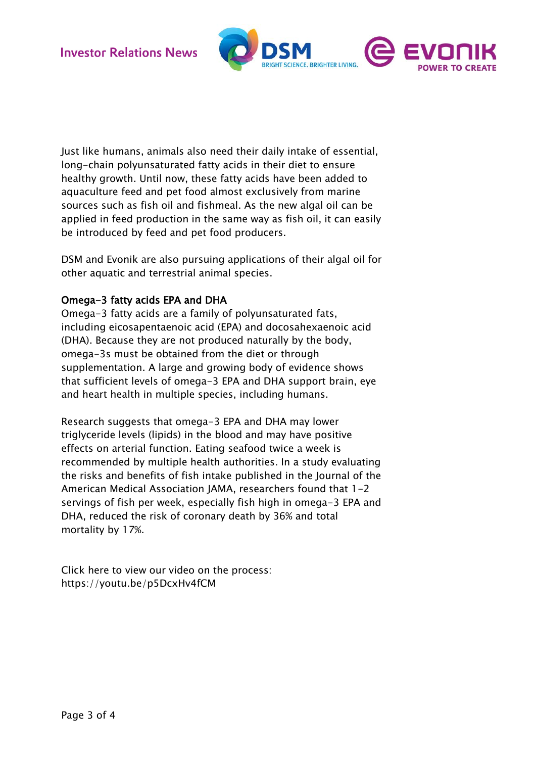

Just like humans, animals also need their daily intake of essential, long-chain polyunsaturated fatty acids in their diet to ensure healthy growth. Until now, these fatty acids have been added to aquaculture feed and pet food almost exclusively from marine sources such as fish oil and fishmeal. As the new algal oil can be applied in feed production in the same way as fish oil, it can easily be introduced by feed and pet food producers.

DSM and Evonik are also pursuing applications of their algal oil for other aquatic and terrestrial animal species.

# Omega-3 fatty acids EPA and DHA

Omega-3 fatty acids are a family of polyunsaturated fats, including eicosapentaenoic acid (EPA) and docosahexaenoic acid (DHA). Because they are not produced naturally by the body, omega-3s must be obtained from the diet or through supplementation. A large and growing body of evidence shows that sufficient levels of omega-3 EPA and DHA support brain, eye and heart health in multiple species, including humans.

Research suggests that omega-3 EPA and DHA may lower triglyceride levels (lipids) in the blood and may have positive effects on arterial function. Eating seafood twice a week is recommended by multiple health authorities. In a study evaluating the risks and benefits of fish intake published in the Journal of the American Medical Association JAMA, researchers found that 1-2 servings of fish per week, especially fish high in omega-3 EPA and DHA, reduced the risk of coronary death by 36% and total mortality by 17%.

Click here to view our video on the process: <https://youtu.be/p5DcxHv4fCM>